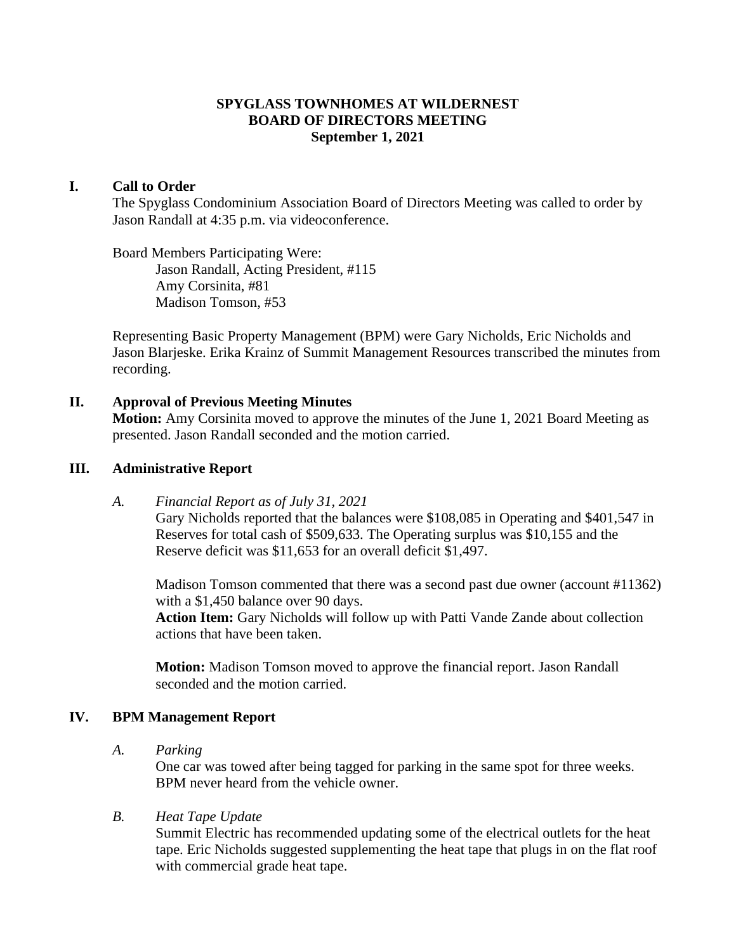### **SPYGLASS TOWNHOMES AT WILDERNEST BOARD OF DIRECTORS MEETING September 1, 2021**

#### **I. Call to Order**

The Spyglass Condominium Association Board of Directors Meeting was called to order by Jason Randall at 4:35 p.m. via videoconference.

Board Members Participating Were: Jason Randall, Acting President, #115 Amy Corsinita, #81 Madison Tomson, #53

Representing Basic Property Management (BPM) were Gary Nicholds, Eric Nicholds and Jason Blarjeske. Erika Krainz of Summit Management Resources transcribed the minutes from recording.

#### **II. Approval of Previous Meeting Minutes**

**Motion:** Amy Corsinita moved to approve the minutes of the June 1, 2021 Board Meeting as presented. Jason Randall seconded and the motion carried.

#### **III. Administrative Report**

*A. Financial Report as of July 31, 2021*

Gary Nicholds reported that the balances were \$108,085 in Operating and \$401,547 in Reserves for total cash of \$509,633. The Operating surplus was \$10,155 and the Reserve deficit was \$11,653 for an overall deficit \$1,497.

Madison Tomson commented that there was a second past due owner (account #11362) with a \$1,450 balance over 90 days.

**Action Item:** Gary Nicholds will follow up with Patti Vande Zande about collection actions that have been taken.

**Motion:** Madison Tomson moved to approve the financial report. Jason Randall seconded and the motion carried.

# **IV. BPM Management Report**

*A. Parking*

One car was towed after being tagged for parking in the same spot for three weeks. BPM never heard from the vehicle owner.

#### *B. Heat Tape Update*

Summit Electric has recommended updating some of the electrical outlets for the heat tape. Eric Nicholds suggested supplementing the heat tape that plugs in on the flat roof with commercial grade heat tape.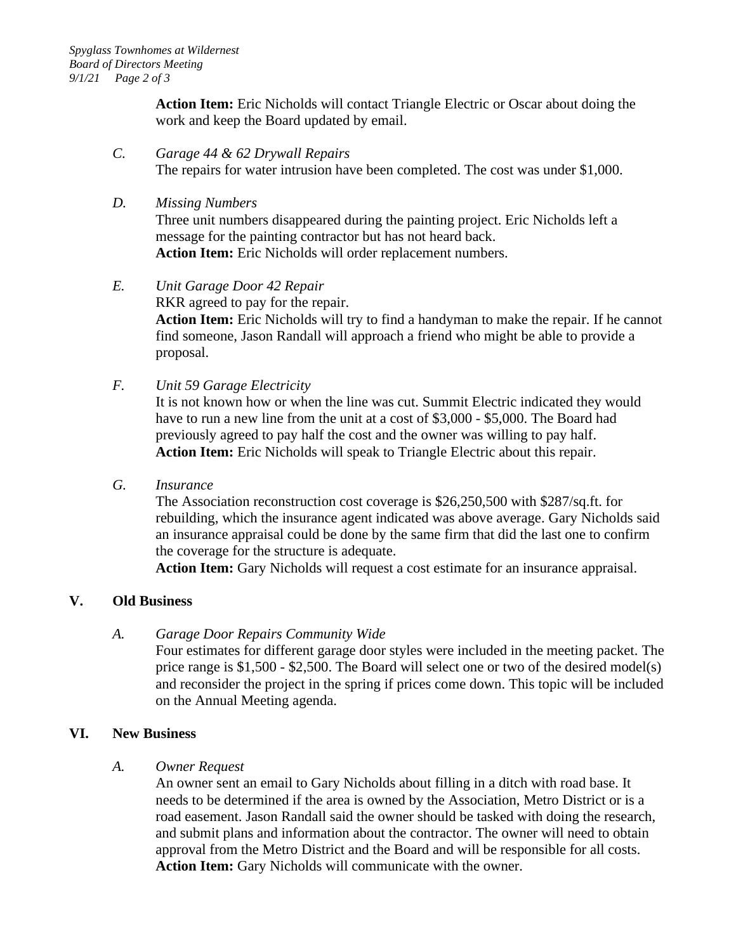**Action Item:** Eric Nicholds will contact Triangle Electric or Oscar about doing the work and keep the Board updated by email.

- *C. Garage 44 & 62 Drywall Repairs* The repairs for water intrusion have been completed. The cost was under \$1,000.
- *D. Missing Numbers*

Three unit numbers disappeared during the painting project. Eric Nicholds left a message for the painting contractor but has not heard back. **Action Item:** Eric Nicholds will order replacement numbers.

### *E. Unit Garage Door 42 Repair*

RKR agreed to pay for the repair.

**Action Item:** Eric Nicholds will try to find a handyman to make the repair. If he cannot find someone, Jason Randall will approach a friend who might be able to provide a proposal.

*F. Unit 59 Garage Electricity*

It is not known how or when the line was cut. Summit Electric indicated they would have to run a new line from the unit at a cost of \$3,000 - \$5,000. The Board had previously agreed to pay half the cost and the owner was willing to pay half. **Action Item:** Eric Nicholds will speak to Triangle Electric about this repair.

*G. Insurance*

The Association reconstruction cost coverage is \$26,250,500 with \$287/sq.ft. for rebuilding, which the insurance agent indicated was above average. Gary Nicholds said an insurance appraisal could be done by the same firm that did the last one to confirm the coverage for the structure is adequate.

**Action Item:** Gary Nicholds will request a cost estimate for an insurance appraisal.

### **V. Old Business**

### *A. Garage Door Repairs Community Wide*

Four estimates for different garage door styles were included in the meeting packet. The price range is \$1,500 - \$2,500. The Board will select one or two of the desired model(s) and reconsider the project in the spring if prices come down. This topic will be included on the Annual Meeting agenda.

### **VI. New Business**

### *A. Owner Request*

An owner sent an email to Gary Nicholds about filling in a ditch with road base. It needs to be determined if the area is owned by the Association, Metro District or is a road easement. Jason Randall said the owner should be tasked with doing the research, and submit plans and information about the contractor. The owner will need to obtain approval from the Metro District and the Board and will be responsible for all costs. **Action Item:** Gary Nicholds will communicate with the owner.